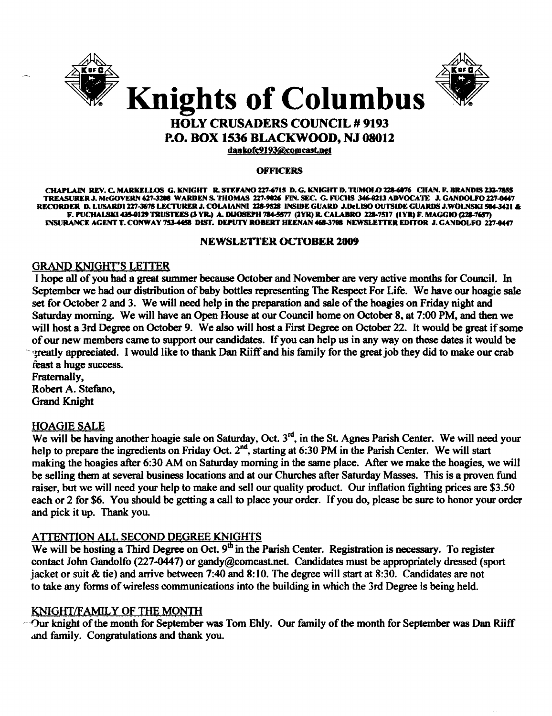



# HOLY CRUSADERS COUNCIL # 9193 P.O. BOX 1536 BLACKWOOD, NJ 08012

dankofe919J@eomcast.net

#### **OFFICERS**

CHAPLAIN REV. C. MARKELLOS G. KNIGHT R. STEFANO 227-6715 D. G. KNIGHT D. TUMOLO 228-6076 CHAN. F. BRANDIS 232-7855 TREASURER J. McGOVERN 627-3208 WARDEN S. THOMAS 227-9026 FIN. SEC. G. FUCHS 346-0213 ADVOCATE J. GANDOLFO 227-0447 RECORDER D. LUSARDI 227-3675 LECTURER J. COLAIANNI 228-9528 INSIDE GUARD J.DeLISO OUTSIDE GUARDS J.WOLNSKI 504-3421 **&** F. PUCHALSKI 435-0129 TRUSTEES (3 YR.) A. DIJOSEPH 784-5577 (2YR) R. CALABRO 228-7517 (IYR) F. MAGGIO (228-7657) INSURANCE AGENT T. CONWAY 753-4458 DIST. DEPUTY ROBERT HEENAN 468-3708 NEWSLETTER EDITOR J. GANDOLFO 227-8447

#### NEWSLETI'ER OCTOBER 2009

## GRAND KNIGHT'S LEITER

I hope all of you had a great summer because October and November are very active months for Council. In September we had our distribution of baby bottles representing The Respect For Life. We have our hoagie sale set for October 2 and 3. We will need help in the preparation and sale of the hoagies on Friday night and Saturday morning. We will have an Open House at our Council home on October 8, at 7:00 PM, and then we will host a 3rd Degree on October 9. We also will host a First Degree on October 22. It would be great if some ofour new members came to support our candidates. If you can help us in any way on these dates it would be reatly appreciated. I would like to thank Dan Riiff and his family for the great job they did to make our crab feast a huge success.

Fraternally, Robert A. Stefano, Grand Knight

## HOAGIE SALE

We will be having another hoagie sale on Saturday, Oct. 3<sup>rd</sup>, in the St. Agnes Parish Center. We will need your help to prepare the ingredients on Friday Oct. 2<sup>nd</sup>, starting at 6:30 PM in the Parish Center. We will start making the hoagies after 6:30 AM on Saturday morning in the same place. After we make the hoagies, we will be selling them at several business locations and at our Churches after Saturday Masses. This is a proven fund raiser, but we will need your help to make and sell our quality product. Our inflation fighting prices are \$3.50 each or 2 for \$6. You should be getting a call to place your order. If you do, please be sure to honor your order and pick it up. Thank you.

## ATIENTION ALL SECOND DEGREE KNIGHTS

We will be hosting a Third Degree on Oct.  $9<sup>th</sup>$  in the Parish Center. Registration is necessary. To register contact John Gandolfo (227-0447) or gandy@comcast.net. Candidates must be appropriately dressed (sport jacket or suit & tie) and arrive between 7:40 and 8: 10. The degree will start at 8:30. Candidates are not to take any forms of wireless communications into the building in which the 3rd Degree is being held.

## KNIGHT/FAMILY OF THE MONTH

 $\neg$ Our knight of the month for September was Tom Ehly. Our family of the month for September was Dan Riiff and family. Congratulations and thank you.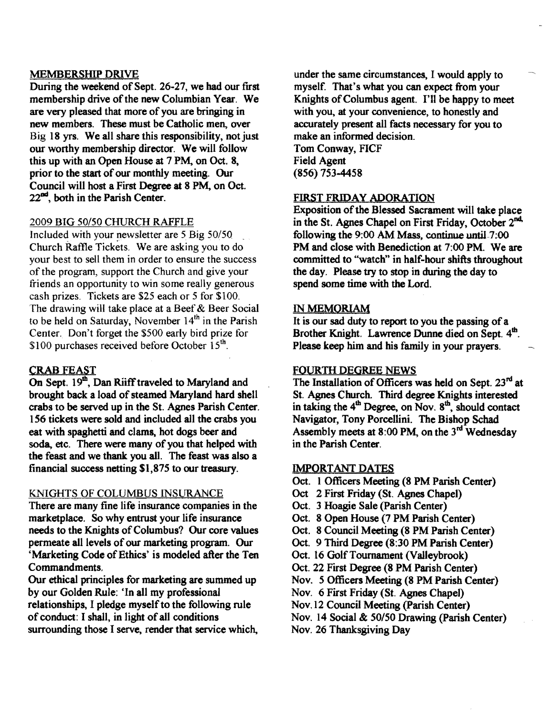## MEMBERSHIP DRJVE

During the weekend of Sept. 26-27, we had our first membership drive of the new Columbian Year. We are very pleased that more of you are bringing in new members. These must be Catholic men, over Big 18 yrs. We all share this responsibility, not just our worthy membership director. We will follow this up with an Open House at 7 PM, on Oct, 8, prior to the start of our monthly meeting. Our Council will host a First Degree at 8 PM, on Oct.  $22<sup>nd</sup>$ , both in the Parish Center.

## 2009 BIG *50150* CHURCH RAFFLE

Included with your newsletter are 5 Big 50/50 Church Raffle Tickets. We are asking you to do your best to sell them in order to ensure the success of the program, support the Church and give your friends an opportunity to win some really generous cash prizes. Tickets are \$25 each or 5 for \$100. The drawing will take place at a Beef & Beer Social to be held on Saturday, November  $14<sup>th</sup>$  in the Parish Center. Don't forget the \$500 early bird prize for \$100 purchases received before October  $15<sup>th</sup>$ .

## CRAB FEAST

On Sept. 19th, Dan Riiff traveled to Maryland and brought back a load of steamed Maryland hard shell crabs to be served up in the St. Agnes Parish Center. 156 tickets were sold and included all the crabs you eat with spaghetti and clams, hot dogs beer and soda, etc. There were many of you that helped with the feast and we thank you all. The feast was also a financial success netting \$1,875 to our treasury.

## KNIGHTS OF COLUMBUS INSURANCE

There are many fine life insurance companies in the marketplace. So why entrust your life insurance needs to the Knights of Columbus? Our core values permeate all levels of our marketing program. Our 'Marketing Code of Ethics' is modeled after the Ten Commandments.

Our ethical principles for marketing are summed up by our Golden Rule: 'In all my professional relationships, I pledge myself to the following rule of conduct: I shall, in light of all conditions surrounding those I serve, render that service which,

under the same circumstances, I would apply to myself. That's what you can expect from your Knights of Columbus agent. I'll be happy to meet with you, at your convenience, to honestly and accurately present all facts necessary for you to make an informed decision. Tom Conway, FICF Field Agent (856) 753-4458

## FIRST FRIDAY ADORATION

Exposition of the Blessed Sacrament will take place in the St. Agnes Chapel on First Friday, October 2<sup>nd,</sup> following the 9:00 AM Mass, continue until-7:00 PM and close with Benediction at 7:00 PM. We are committed to "watch" in half-hour shifts throughout the day. Please try to stop in during the day to spend some time with the Lord.

## IN MEMORIAM

It is our sad duty to report to you the passing of a Brother Knight. Lawrence Dunne died on Sept. 4th. Please keep him and his family in your prayers.

## FOURTH DEGREE NEWS

The Installation of Officers was held on Sept.  $23<sup>rd</sup>$  at St. Agnes Church. Third degree Knights interested in taking the  $4<sup>th</sup>$  Degree, on Nov.  $8<sup>th</sup>$ , should contact Navigator, Tony Porcellini. The Bishop Schad Assembly meets at  $8:00$  PM, on the  $3<sup>rd</sup>$  Wednesday in the Parish Center.

## IMPORTANT DATES

- Oct. 1 Officers Meeting (8 PM Parish Center)
- Oct 2 First Friday (St. Agnes Chapel)
- Oct. 3 Hoagie Sale (Parish Center)
- Oct. 8 Open House (7 PM Parish Center)
- Oct. 8 Council Meeting (8 PM Parish Center)
- Oct. 9 Third Degree (8:30 PM Parish Center)
- Oct. 16 Golf Tournament (Valleybrook)
- Oct. 22 First Degree (8 PM Parish Center)
- Nov. 5 Officers Meeting (8 PM Parish Center)
- Nov. 6 First Friday (St. Agnes Chapel)
- Nov. 12 Council Meeting (parish Center)
- Nov. 14 Social & *50/50* Drawing (parish Center)
- Nov. 26 Thanksgiving Day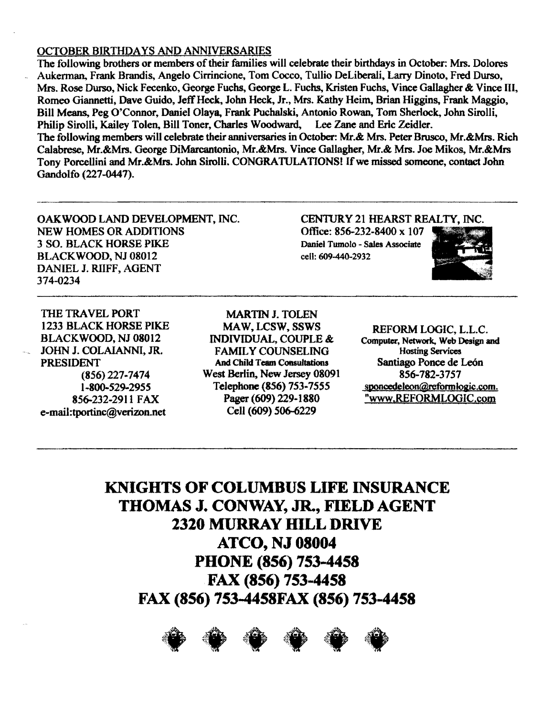#### OCTOBER BIRTHDAYS AND ANNIVERSARIES

The following brothers or members of their families will celebrate their birthdays in October: Mrs. Dolores Aukennan, Frank Brandis, Angelo Cirrincione, Tom Cocco, Tullio DeLiberali, Larry Dinoto, Fred Durso, Mrs. Rose Durso, Nick Fecenko, George Fuchs, George L. Fuchs, Kristen Fuchs, Vince Gallagher & Vince III, Romeo Giannetti, Dave Guido, Jeff Heck, John Heck, Jr., Mrs. Kathy Heim, Brian Higgins, Frank Maggio, Bill Means, Peg O'Connor, Daniel Olaya, Frank Puchalski, Antonio Rowan, Tom Sherlock, John Sirolli, Philip Sirolli, Kailey Tolen, Bill Toner, Charles Woodward, Lee Zane and Eric Zeidler. The following members will celebrate their anniversaries in October: Mr.&: Mrs. Peter Brusco, Mr.&:Mrs. Rich Calabrese, Mr.&Mrs. George DiMarcantonio, Mr.&Mrs. Vince Gallagher, Mr.& Mrs. Joe Mikos, Mr.&Mrs Tony Porcellini and Mr.&Mrs. John Sirolli. CONGRATULATIONS! If we missed someone, contact John Gandolfo (227-0447).

OAKWOOD LAND DEVELOPMENT, INC. NEW HOMES OR ADDITIONS Office: 856-232-8400 x 107 3 SO. BLACK HORSE PIKE Daniel Tumolo - Sales Associate BLACKWOOD, NJ 08012 cell: 609-440-2932 DANIEL J. RUFF, AGENT 374-0234

CEN1URY 21 HEARST REALTV, INC.



THE TRAVEL PORT 1233 BLACK HORSE PIKE BLACKWOOD, NJ 08012 <sup>~</sup>JOHN J. COLAIANNI, JR. PRESIDENT (856) 227·7474 1-800-529-2955 856-232-2911 FAX e-mail:tportinc@verizon.net

MARTIN J. TOLEN MAW, LCSW, SSWS INDIVIDUAL, COUPLE &: FAMlL Y COUNSELING And Child Team Consultations West Berlin, New Jersey 08091 Telepbone(856) 753-7555 Pager (609) 229-1880 Cell (609) 506-6229

REFORM LOGIC, L.L.C. Computer, Network., Web Design and **Hosting Services** Santiago Ponce de Le6n 856-782-3757 sponcedeleon@reformlogic.com. "www.&EFORMLOGIC.com

**KNIGHTS OF COLUMBUS LIFE INSURANCE THOMAS J. CONWAY, JR., FIELD AGENT 2320 MURRAY HILL DRIVE ATCO, NJ 08004 PHONE (856) 753-4458 FAX (856) 753 ..4458**